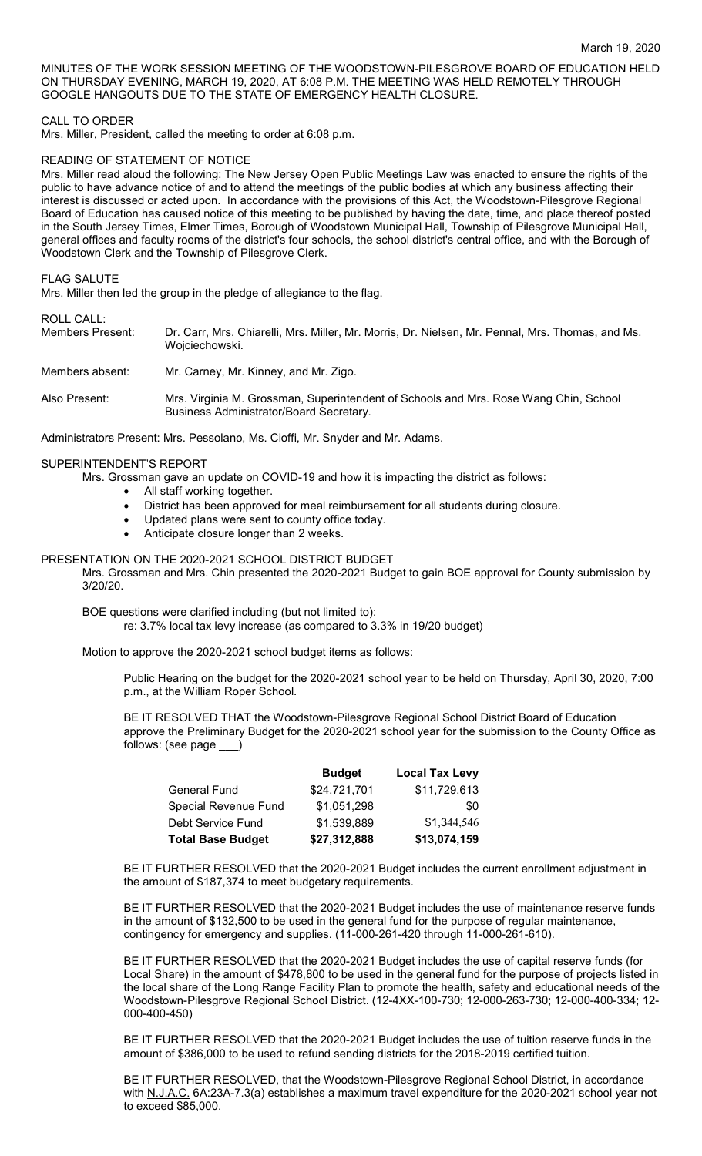MINUTES OF THE WORK SESSION MEETING OF THE WOODSTOWN-PILESGROVE BOARD OF EDUCATION HELD ON THURSDAY EVENING, MARCH 19, 2020, AT 6:08 P.M. THE MEETING WAS HELD REMOTELY THROUGH GOOGLE HANGOUTS DUE TO THE STATE OF EMERGENCY HEALTH CLOSURE.

### CALL TO ORDER

Mrs. Miller, President, called the meeting to order at 6:08 p.m.

### READING OF STATEMENT OF NOTICE

Mrs. Miller read aloud the following: The New Jersey Open Public Meetings Law was enacted to ensure the rights of the public to have advance notice of and to attend the meetings of the public bodies at which any business affecting their interest is discussed or acted upon. In accordance with the provisions of this Act, the Woodstown-Pilesgrove Regional Board of Education has caused notice of this meeting to be published by having the date, time, and place thereof posted in the South Jersey Times, Elmer Times, Borough of Woodstown Municipal Hall, Township of Pilesgrove Municipal Hall, general offices and faculty rooms of the district's four schools, the school district's central office, and with the Borough of Woodstown Clerk and the Township of Pilesgrove Clerk.

#### FLAG SALUTE

Mrs. Miller then led the group in the pledge of allegiance to the flag.

ROLL CALL:<br>Members Present: Dr. Carr, Mrs. Chiarelli, Mrs. Miller, Mr. Morris, Dr. Nielsen, Mr. Pennal, Mrs. Thomas, and Ms. Wojciechowski.

Members absent: Mr. Carney, Mr. Kinney, and Mr. Zigo.

Also Present: Mrs. Virginia M. Grossman, Superintendent of Schools and Mrs. Rose Wang Chin, School Business Administrator/Board Secretary.

Administrators Present: Mrs. Pessolano, Ms. Cioffi, Mr. Snyder and Mr. Adams.

#### SUPERINTENDENT'S REPORT

Mrs. Grossman gave an update on COVID-19 and how it is impacting the district as follows:

- All staff working together.
- District has been approved for meal reimbursement for all students during closure.
- Updated plans were sent to county office today.
- Anticipate closure longer than 2 weeks.

#### PRESENTATION ON THE 2020-2021 SCHOOL DISTRICT BUDGET

Mrs. Grossman and Mrs. Chin presented the 2020-2021 Budget to gain BOE approval for County submission by 3/20/20.

BOE questions were clarified including (but not limited to):

re: 3.7% local tax levy increase (as compared to 3.3% in 19/20 budget)

Motion to approve the 2020-2021 school budget items as follows:

Public Hearing on the budget for the 2020-2021 school year to be held on Thursday, April 30, 2020, 7:00 p.m., at the William Roper School.

BE IT RESOLVED THAT the Woodstown-Pilesgrove Regional School District Board of Education approve the Preliminary Budget for the 2020-2021 school year for the submission to the County Office as follows: (see page \_\_\_)

|                             | <b>Budget</b> | <b>Local Tax Levy</b> |
|-----------------------------|---------------|-----------------------|
| <b>General Fund</b>         | \$24,721,701  | \$11,729,613          |
| <b>Special Revenue Fund</b> | \$1,051,298   | \$0                   |
| Debt Service Fund           | \$1,539,889   | \$1,344,546           |
| <b>Total Base Budget</b>    | \$27,312,888  | \$13,074,159          |

BE IT FURTHER RESOLVED that the 2020-2021 Budget includes the current enrollment adjustment in the amount of \$187,374 to meet budgetary requirements.

BE IT FURTHER RESOLVED that the 2020-2021 Budget includes the use of maintenance reserve funds in the amount of \$132,500 to be used in the general fund for the purpose of regular maintenance, contingency for emergency and supplies. (11-000-261-420 through 11-000-261-610).

BE IT FURTHER RESOLVED that the 2020-2021 Budget includes the use of capital reserve funds (for Local Share) in the amount of \$478,800 to be used in the general fund for the purpose of projects listed in the local share of the Long Range Facility Plan to promote the health, safety and educational needs of the Woodstown-Pilesgrove Regional School District. (12-4XX-100-730; 12-000-263-730; 12-000-400-334; 12- 000-400-450)

BE IT FURTHER RESOLVED that the 2020-2021 Budget includes the use of tuition reserve funds in the amount of \$386,000 to be used to refund sending districts for the 2018-2019 certified tuition.

BE IT FURTHER RESOLVED, that the Woodstown-Pilesgrove Regional School District, in accordance with N.J.A.C. 6A:23A-7.3(a) establishes a maximum travel expenditure for the 2020-2021 school year not to exceed \$85,000.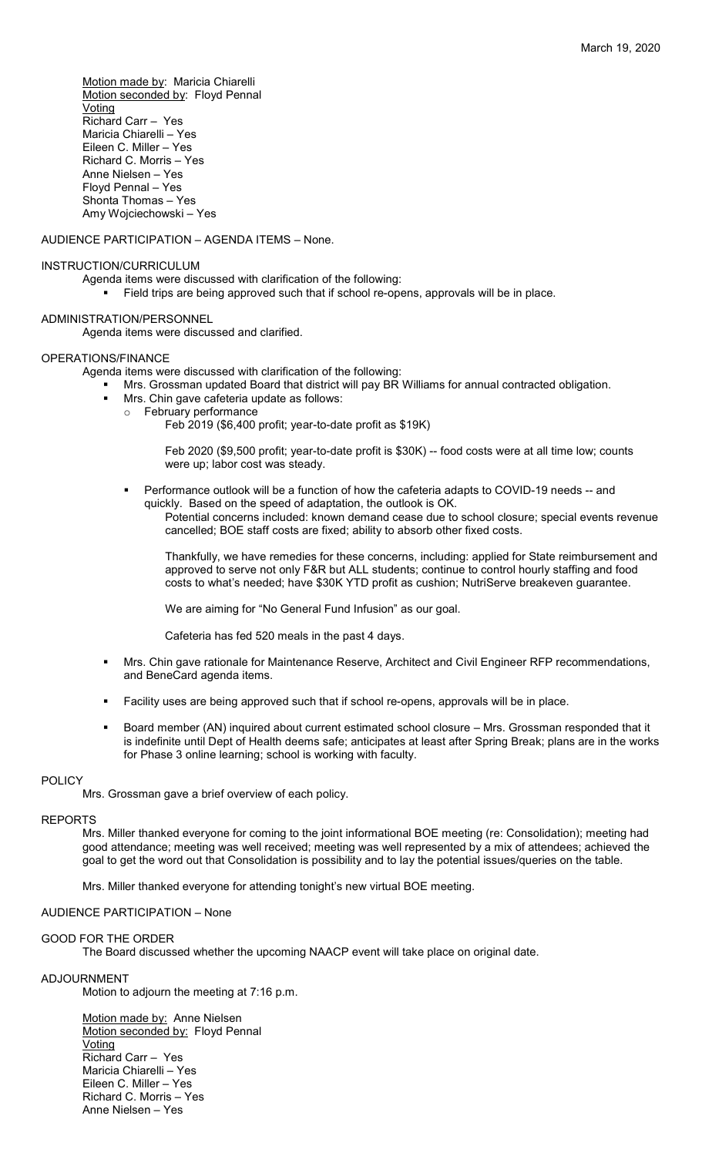Motion made by: Maricia Chiarelli Motion seconded by: Floyd Pennal Voting Richard Carr – Yes Maricia Chiarelli – Yes Eileen C. Miller – Yes Richard C. Morris – Yes Anne Nielsen – Yes Floyd Pennal – Yes Shonta Thomas – Yes Amy Wojciechowski – Yes

AUDIENCE PARTICIPATION – AGENDA ITEMS – None.

## INSTRUCTION/CURRICULUM

Agenda items were discussed with clarification of the following:

Field trips are being approved such that if school re-opens, approvals will be in place.

## ADMINISTRATION/PERSONNEL

Agenda items were discussed and clarified.

## OPERATIONS/FINANCE

Agenda items were discussed with clarification of the following:

- Mrs. Grossman updated Board that district will pay BR Williams for annual contracted obligation.
- Mrs. Chin gave cafeteria update as follows:
	- o February performance

Feb 2019 (\$6,400 profit; year-to-date profit as \$19K)

Feb 2020 (\$9,500 profit; year-to-date profit is \$30K) -- food costs were at all time low; counts were up; labor cost was steady.

 Performance outlook will be a function of how the cafeteria adapts to COVID-19 needs -- and quickly. Based on the speed of adaptation, the outlook is OK.

Potential concerns included: known demand cease due to school closure; special events revenue cancelled; BOE staff costs are fixed; ability to absorb other fixed costs.

Thankfully, we have remedies for these concerns, including: applied for State reimbursement and approved to serve not only F&R but ALL students; continue to control hourly staffing and food costs to what's needed; have \$30K YTD profit as cushion; NutriServe breakeven guarantee.

We are aiming for "No General Fund Infusion" as our goal.

Cafeteria has fed 520 meals in the past 4 days.

- Mrs. Chin gave rationale for Maintenance Reserve, Architect and Civil Engineer RFP recommendations, and BeneCard agenda items.
- Facility uses are being approved such that if school re-opens, approvals will be in place.
- Board member (AN) inquired about current estimated school closure Mrs. Grossman responded that it is indefinite until Dept of Health deems safe; anticipates at least after Spring Break; plans are in the works for Phase 3 online learning; school is working with faculty.

## POLICY

Mrs. Grossman gave a brief overview of each policy.

## REPORTS

Mrs. Miller thanked everyone for coming to the joint informational BOE meeting (re: Consolidation); meeting had good attendance; meeting was well received; meeting was well represented by a mix of attendees; achieved the goal to get the word out that Consolidation is possibility and to lay the potential issues/queries on the table.

Mrs. Miller thanked everyone for attending tonight's new virtual BOE meeting.

# AUDIENCE PARTICIPATION – None

# GOOD FOR THE ORDER

The Board discussed whether the upcoming NAACP event will take place on original date.

# ADJOURNMENT

Motion to adjourn the meeting at 7:16 p.m.

Motion made by: Anne Nielsen Motion seconded by: Floyd Pennal Voting Richard Carr – Yes Maricia Chiarelli – Yes Eileen C. Miller – Yes Richard C. Morris – Yes Anne Nielsen – Yes